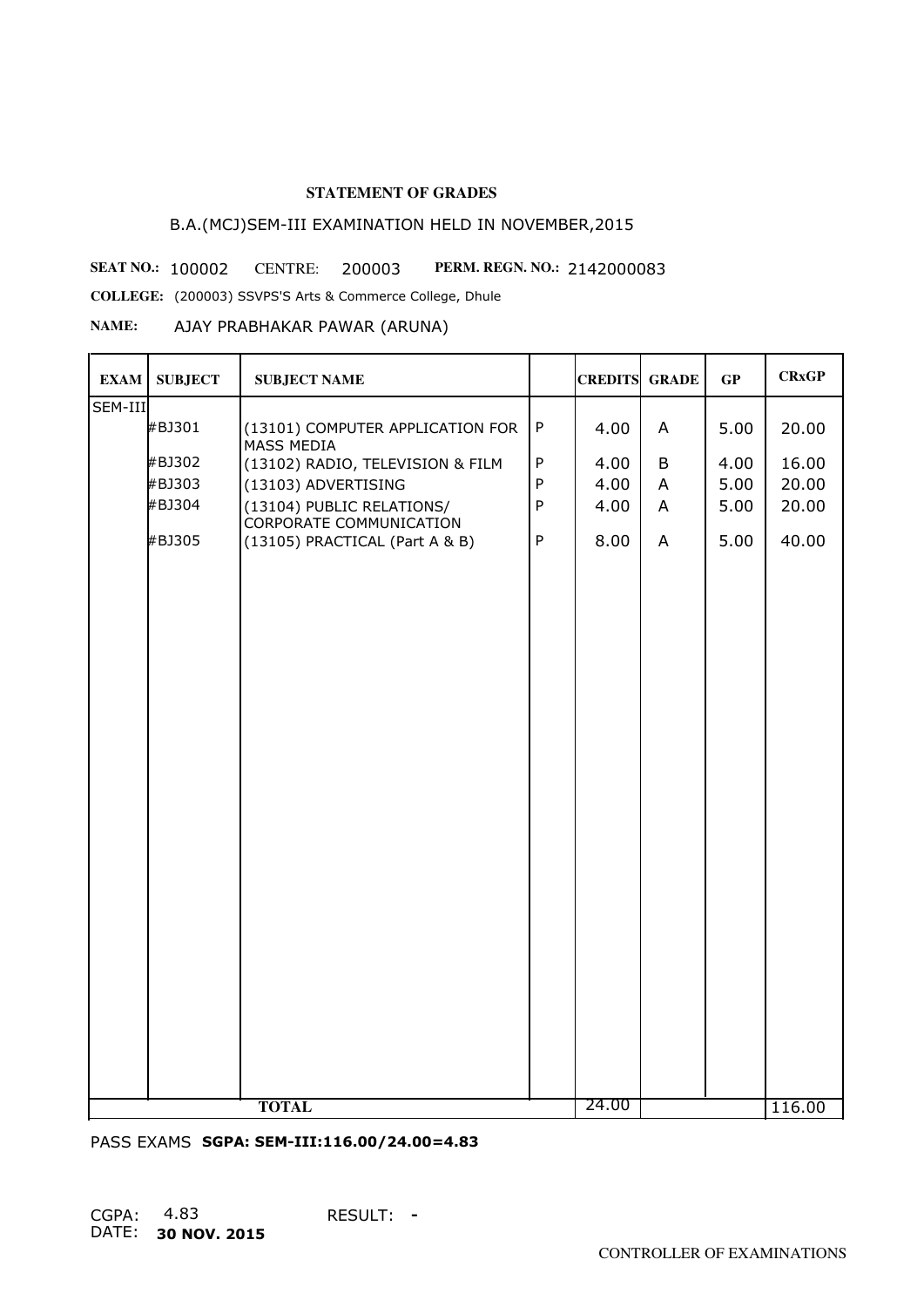# B.A.(MCJ)SEM-III EXAMINATION HELD IN NOVEMBER,2015

**SEAT NO.: 100002 CENTRE: 200003 PERM. REGN. NO.: 2142000083** 

**COLLEGE:** (200003) SSVPS'S Arts & Commerce College, Dhule

# **NAME:** AJAY PRABHAKAR PAWAR (ARUNA)

| <b>EXAM</b>           | <b>SUBJECT</b> | <b>SUBJECT NAME</b>                                  |              | <b>CREDITS GRADE</b> |   | GP   | <b>CRxGP</b> |
|-----------------------|----------------|------------------------------------------------------|--------------|----------------------|---|------|--------------|
| SEM-III               |                |                                                      |              |                      |   |      |              |
|                       | #BJ301         | (13101) COMPUTER APPLICATION FOR<br>MASS MEDIA       | ${\sf P}$    | 4.00                 | A | 5.00 | 20.00        |
|                       | #BJ302         | (13102) RADIO, TELEVISION & FILM                     | $\sf P$      | 4.00                 | B | 4.00 | 16.00        |
|                       | #BJ303         | (13103) ADVERTISING                                  | ${\sf P}$    | 4.00                 | A | 5.00 | 20.00        |
|                       | #BJ304         | (13104) PUBLIC RELATIONS/<br>CORPORATE COMMUNICATION | $\sf P$      | 4.00                 | A | 5.00 | 20.00        |
|                       | #BJ305         | (13105) PRACTICAL (Part A & B)                       | $\mathsf{P}$ | 8.00                 | A | 5.00 | 40.00        |
|                       |                |                                                      |              |                      |   |      |              |
|                       |                |                                                      |              |                      |   |      |              |
|                       |                |                                                      |              |                      |   |      |              |
|                       |                |                                                      |              |                      |   |      |              |
|                       |                |                                                      |              |                      |   |      |              |
|                       |                |                                                      |              |                      |   |      |              |
|                       |                |                                                      |              |                      |   |      |              |
|                       |                |                                                      |              |                      |   |      |              |
|                       |                |                                                      |              |                      |   |      |              |
|                       |                |                                                      |              |                      |   |      |              |
|                       |                |                                                      |              |                      |   |      |              |
|                       |                |                                                      |              |                      |   |      |              |
|                       |                |                                                      |              |                      |   |      |              |
|                       |                |                                                      |              |                      |   |      |              |
|                       |                |                                                      |              |                      |   |      |              |
|                       |                |                                                      |              |                      |   |      |              |
| 24.00<br><b>TOTAL</b> |                |                                                      |              |                      |   |      | 116.00       |

PASS EXAMS **SGPA: SEM-III:116.00/24.00=4.83**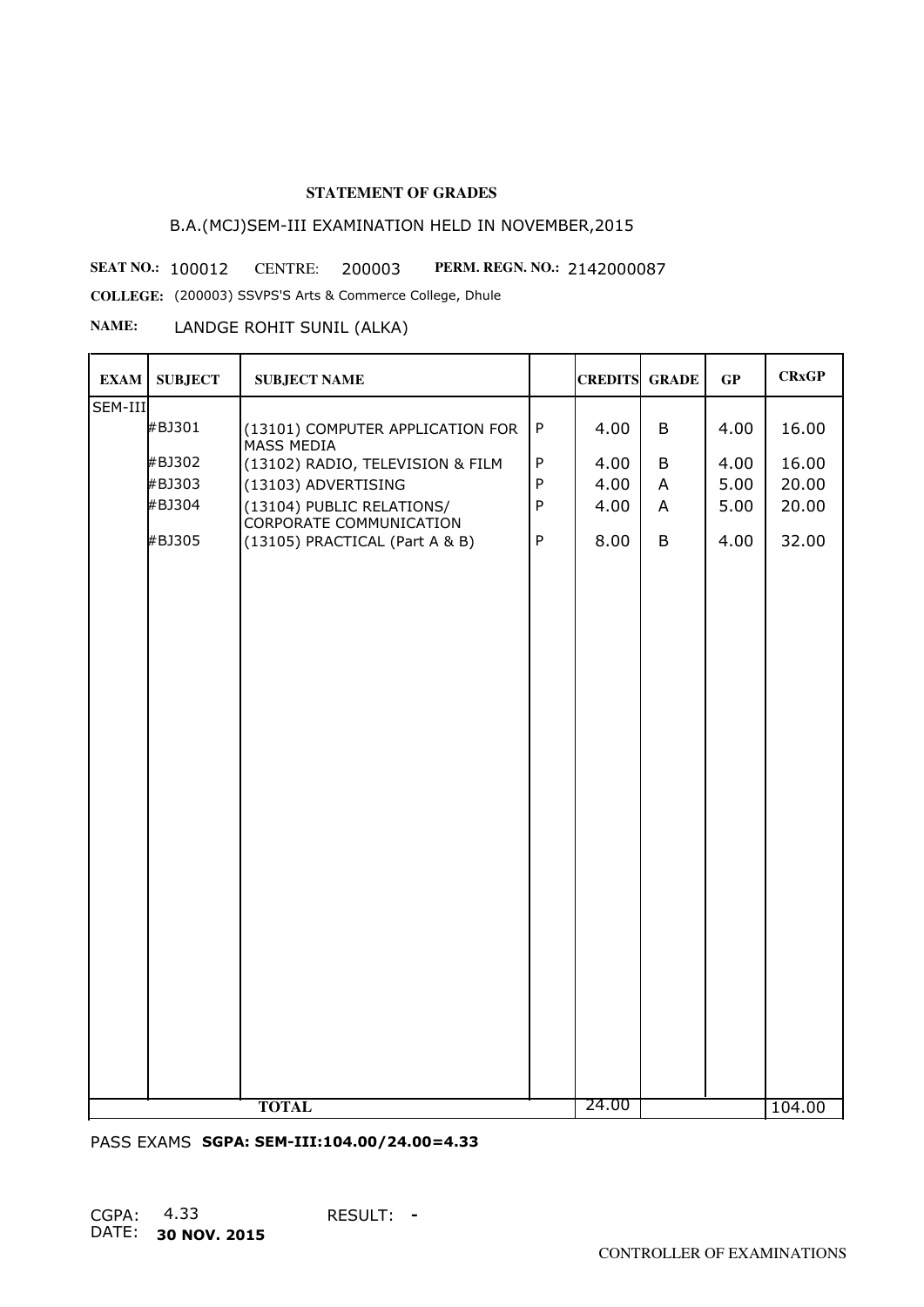# B.A.(MCJ)SEM-III EXAMINATION HELD IN NOVEMBER,2015

**SEAT NO.: 100012 CENTRE: 200003 PERM. REGN. NO.: 2142000087** 

**COLLEGE:** (200003) SSVPS'S Arts & Commerce College, Dhule

**NAME:** LANDGE ROHIT SUNIL (ALKA)

| <b>EXAM</b> | <b>SUBJECT</b> | <b>SUBJECT NAME</b>                                  |              | <b>CREDITS GRADE</b> |   | GP   | <b>CRxGP</b> |
|-------------|----------------|------------------------------------------------------|--------------|----------------------|---|------|--------------|
| SEM-III     |                |                                                      |              |                      |   |      |              |
|             | #BJ301         | (13101) COMPUTER APPLICATION FOR<br>MASS MEDIA       | ${\sf P}$    | 4.00                 | B | 4.00 | 16.00        |
|             | #BJ302         | (13102) RADIO, TELEVISION & FILM                     | ${\sf P}$    | 4.00                 | B | 4.00 | 16.00        |
|             | #BJ303         | (13103) ADVERTISING                                  | $\mathsf{P}$ | 4.00                 | A | 5.00 | 20.00        |
|             | #BJ304         | (13104) PUBLIC RELATIONS/<br>CORPORATE COMMUNICATION | ${\sf P}$    | 4.00                 | A | 5.00 | 20.00        |
|             | #BJ305         | (13105) PRACTICAL (Part A & B)                       | $\mathsf{P}$ | 8.00                 | B | 4.00 | 32.00        |
|             |                |                                                      |              |                      |   |      |              |
|             |                |                                                      |              |                      |   |      |              |
|             |                |                                                      |              |                      |   |      |              |
|             |                |                                                      |              |                      |   |      |              |
|             |                |                                                      |              |                      |   |      |              |
|             |                |                                                      |              |                      |   |      |              |
|             |                |                                                      |              |                      |   |      |              |
|             |                |                                                      |              |                      |   |      |              |
|             |                |                                                      |              |                      |   |      |              |
|             |                |                                                      |              |                      |   |      |              |
|             |                |                                                      |              |                      |   |      |              |
|             |                |                                                      |              |                      |   |      |              |
|             |                |                                                      |              |                      |   |      |              |
|             |                |                                                      |              |                      |   |      |              |
|             |                |                                                      |              |                      |   |      |              |
|             |                |                                                      |              |                      |   |      |              |
|             |                |                                                      |              |                      |   |      |              |
|             |                |                                                      |              | 24.00                |   |      |              |
|             | <b>TOTAL</b>   |                                                      |              |                      |   |      | 104.00       |

PASS EXAMS **SGPA: SEM-III:104.00/24.00=4.33**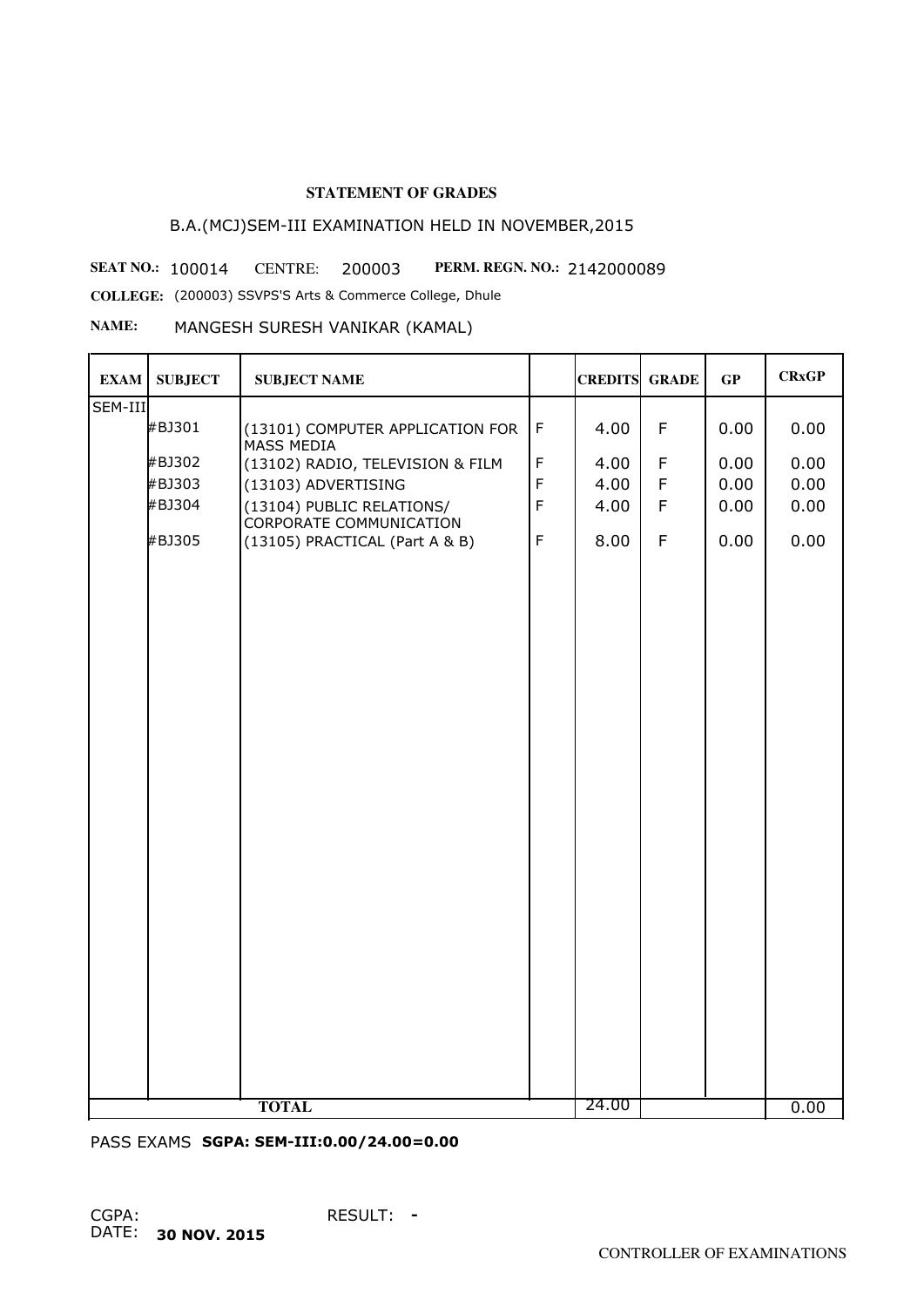# B.A.(MCJ)SEM-III EXAMINATION HELD IN NOVEMBER,2015

**SEAT NO.: 100014 CENTRE: 200003 PERM. REGN. NO.: 2142000089** 

**COLLEGE:** (200003) SSVPS'S Arts & Commerce College, Dhule

#### **NAME:** MANGESH SURESH VANIKAR (KAMAL)

| <b>EXAM</b> | <b>SUBJECT</b> | <b>SUBJECT NAME</b>                                         |             | <b>CREDITS GRADE</b> |             | GP   | <b>CRxGP</b> |
|-------------|----------------|-------------------------------------------------------------|-------------|----------------------|-------------|------|--------------|
| SEM-III     |                |                                                             |             |                      |             |      |              |
|             | #BJ301         | (13101) COMPUTER APPLICATION FOR<br>MASS MEDIA              | $\mathsf F$ | 4.00                 | F           | 0.00 | 0.00         |
|             | #BJ302         | (13102) RADIO, TELEVISION & FILM                            | $\mathsf F$ | 4.00                 | $\mathsf F$ | 0.00 | 0.00         |
|             | #BJ303         | (13103) ADVERTISING                                         | $\mathsf F$ | 4.00                 | $\mathsf F$ | 0.00 | 0.00         |
|             | #BJ304         | (13104) PUBLIC RELATIONS/<br><b>CORPORATE COMMUNICATION</b> | $\mathsf F$ | 4.00                 | F           | 0.00 | 0.00         |
|             | #BJ305         | (13105) PRACTICAL (Part A & B)                              | $\mathsf F$ | 8.00                 | $\mathsf F$ | 0.00 | 0.00         |
|             |                |                                                             |             |                      |             |      |              |
|             |                |                                                             |             |                      |             |      |              |
|             |                |                                                             |             |                      |             |      |              |
|             |                |                                                             |             |                      |             |      |              |
|             |                |                                                             |             |                      |             |      |              |
|             |                |                                                             |             |                      |             |      |              |
|             |                |                                                             |             |                      |             |      |              |
|             |                |                                                             |             |                      |             |      |              |
|             |                |                                                             |             |                      |             |      |              |
|             |                |                                                             |             |                      |             |      |              |
|             |                |                                                             |             |                      |             |      |              |
|             |                |                                                             |             |                      |             |      |              |
|             |                |                                                             |             |                      |             |      |              |
|             |                |                                                             |             |                      |             |      |              |
|             |                |                                                             |             |                      |             |      |              |
|             |                |                                                             |             |                      |             |      |              |
|             |                |                                                             |             |                      |             |      |              |
|             |                | <b>TOTAL</b>                                                |             | 24.00                |             |      | 0.00         |

PASS EXAMS **SGPA: SEM-III:0.00/24.00=0.00**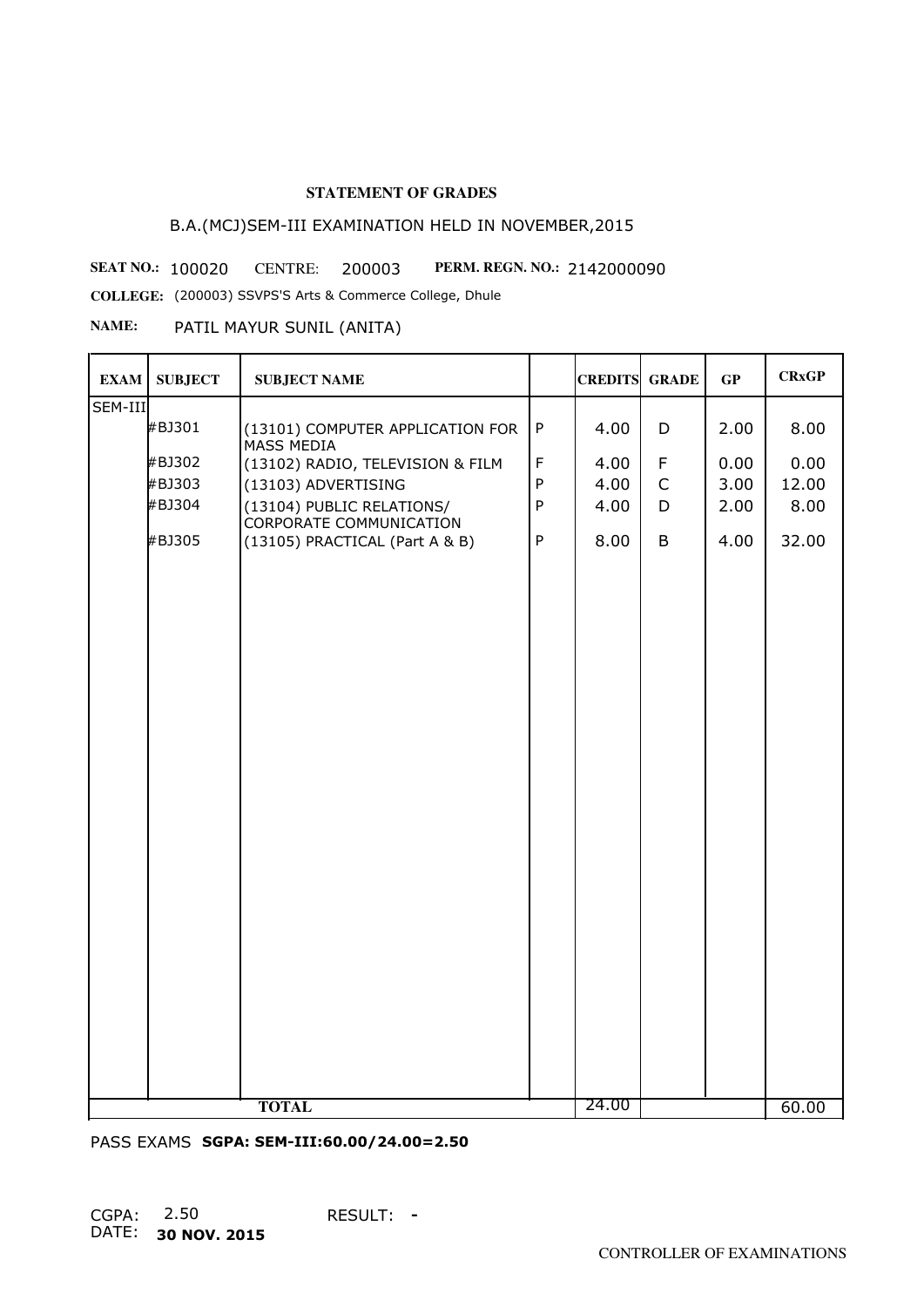# B.A.(MCJ)SEM-III EXAMINATION HELD IN NOVEMBER,2015

**SEAT NO.: 100020 CENTRE: 200003 PERM. REGN. NO.: 2142000090** 

**COLLEGE:** (200003) SSVPS'S Arts & Commerce College, Dhule

## **NAME:** PATIL MAYUR SUNIL (ANITA)

| <b>EXAM</b> | <b>SUBJECT</b> | <b>SUBJECT NAME</b>                                         |              | <b>CREDITS GRADE</b> |              | GP   | <b>CRxGP</b> |
|-------------|----------------|-------------------------------------------------------------|--------------|----------------------|--------------|------|--------------|
| SEM-III     |                |                                                             |              |                      |              |      |              |
|             | #BJ301         | (13101) COMPUTER APPLICATION FOR<br>MASS MEDIA              | $\sf P$      | 4.00                 | D            | 2.00 | 8.00         |
|             | #BJ302         | (13102) RADIO, TELEVISION & FILM                            | $\mathsf F$  | 4.00                 | F            | 0.00 | 0.00         |
|             | #BJ303         | (13103) ADVERTISING                                         | $\mathsf{P}$ | 4.00                 | $\mathsf{C}$ | 3.00 | 12.00        |
|             | #BJ304         | (13104) PUBLIC RELATIONS/<br><b>CORPORATE COMMUNICATION</b> | $\sf P$      | 4.00                 | D            | 2.00 | 8.00         |
|             | #BJ305         | (13105) PRACTICAL (Part A & B)                              | $\mathsf{P}$ | 8.00                 | B            | 4.00 | 32.00        |
|             |                |                                                             |              |                      |              |      |              |
|             |                |                                                             |              |                      |              |      |              |
|             |                |                                                             |              |                      |              |      |              |
|             |                |                                                             |              |                      |              |      |              |
|             |                |                                                             |              |                      |              |      |              |
|             |                |                                                             |              |                      |              |      |              |
|             |                |                                                             |              |                      |              |      |              |
|             |                |                                                             |              |                      |              |      |              |
|             |                |                                                             |              |                      |              |      |              |
|             |                |                                                             |              |                      |              |      |              |
|             |                |                                                             |              |                      |              |      |              |
|             |                |                                                             |              |                      |              |      |              |
|             |                |                                                             |              |                      |              |      |              |
|             |                |                                                             |              |                      |              |      |              |
|             |                |                                                             |              |                      |              |      |              |
|             |                |                                                             |              |                      |              |      |              |
|             |                | <b>TOTAL</b>                                                |              | 24.00                |              |      | 60.00        |

PASS EXAMS **SGPA: SEM-III:60.00/24.00=2.50**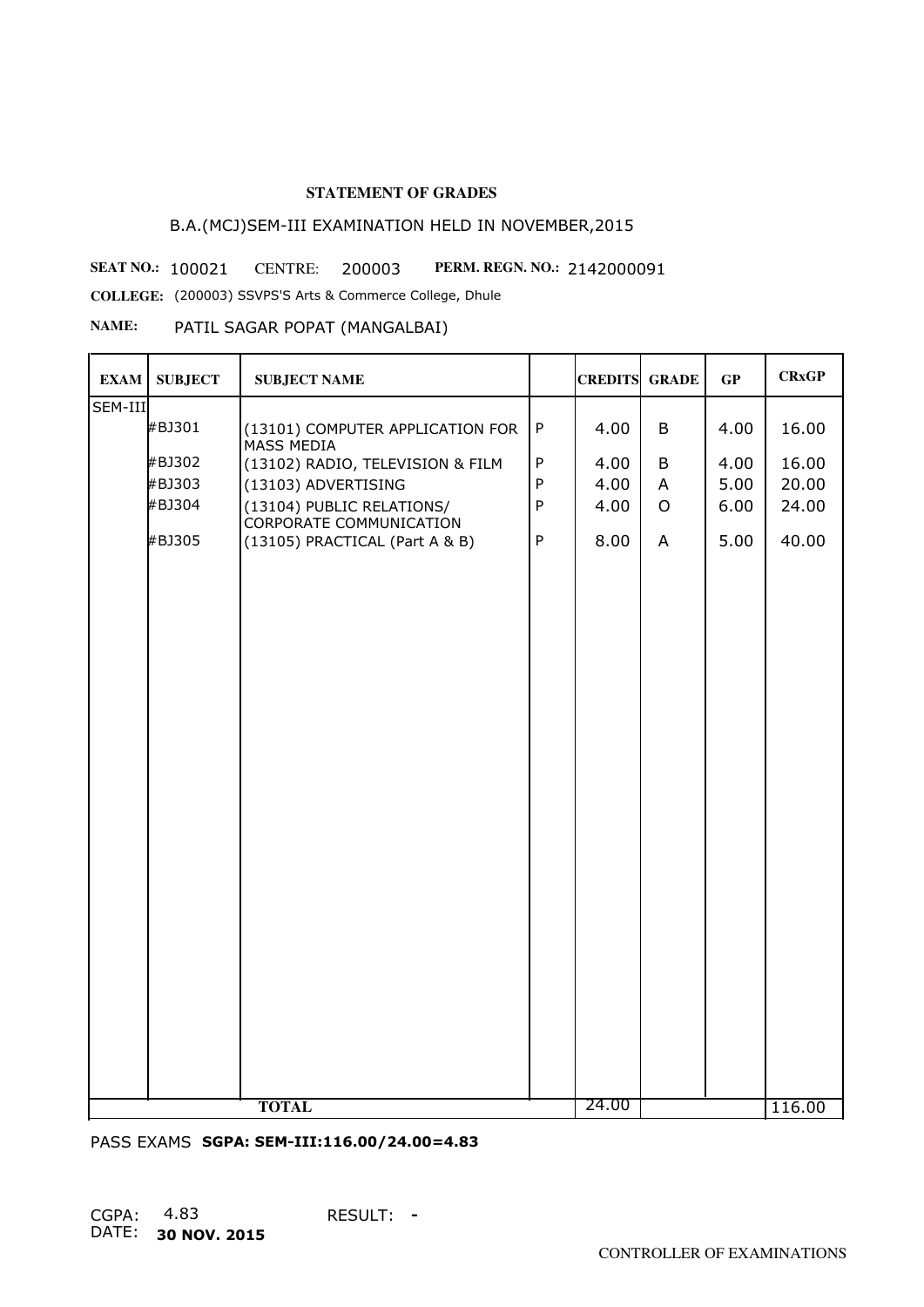# B.A.(MCJ)SEM-III EXAMINATION HELD IN NOVEMBER,2015

**SEAT NO.: 100021 CENTRE: 200003 PERM. REGN. NO.: 2142000091** 

**COLLEGE:** (200003) SSVPS'S Arts & Commerce College, Dhule

# **NAME:** PATIL SAGAR POPAT (MANGALBAI)

| <b>EXAM</b>  | <b>SUBJECT</b> | <b>SUBJECT NAME</b>                                         |              | <b>CREDITS GRADE</b> |                | GP   | <b>CRxGP</b> |
|--------------|----------------|-------------------------------------------------------------|--------------|----------------------|----------------|------|--------------|
| SEM-III      |                |                                                             |              |                      |                |      |              |
|              | #BJ301         | (13101) COMPUTER APPLICATION FOR<br>MASS MEDIA              | ${\sf P}$    | 4.00                 | B              | 4.00 | 16.00        |
|              | #BJ302         | (13102) RADIO, TELEVISION & FILM                            | $\mathsf{P}$ | 4.00                 | B              | 4.00 | 16.00        |
|              | #BJ303         | (13103) ADVERTISING                                         | $\mathsf{P}$ | 4.00                 | A              | 5.00 | 20.00        |
|              | #BJ304         | (13104) PUBLIC RELATIONS/<br><b>CORPORATE COMMUNICATION</b> | $\mathsf{P}$ | 4.00                 | $\overline{O}$ | 6.00 | 24.00        |
|              | #BJ305         | (13105) PRACTICAL (Part A & B)                              | P            | 8.00                 | A              | 5.00 | 40.00        |
|              |                |                                                             |              |                      |                |      |              |
|              |                |                                                             |              |                      |                |      |              |
|              |                |                                                             |              |                      |                |      |              |
|              |                |                                                             |              |                      |                |      |              |
|              |                |                                                             |              |                      |                |      |              |
|              |                |                                                             |              |                      |                |      |              |
|              |                |                                                             |              |                      |                |      |              |
|              |                |                                                             |              |                      |                |      |              |
|              |                |                                                             |              |                      |                |      |              |
|              |                |                                                             |              |                      |                |      |              |
|              |                |                                                             |              |                      |                |      |              |
|              |                |                                                             |              |                      |                |      |              |
|              |                |                                                             |              |                      |                |      |              |
|              |                |                                                             |              |                      |                |      |              |
|              |                |                                                             |              |                      |                |      |              |
|              |                |                                                             |              | 24.00                |                |      |              |
| <b>TOTAL</b> |                |                                                             |              |                      |                |      | 116.00       |

PASS EXAMS **SGPA: SEM-III:116.00/24.00=4.83**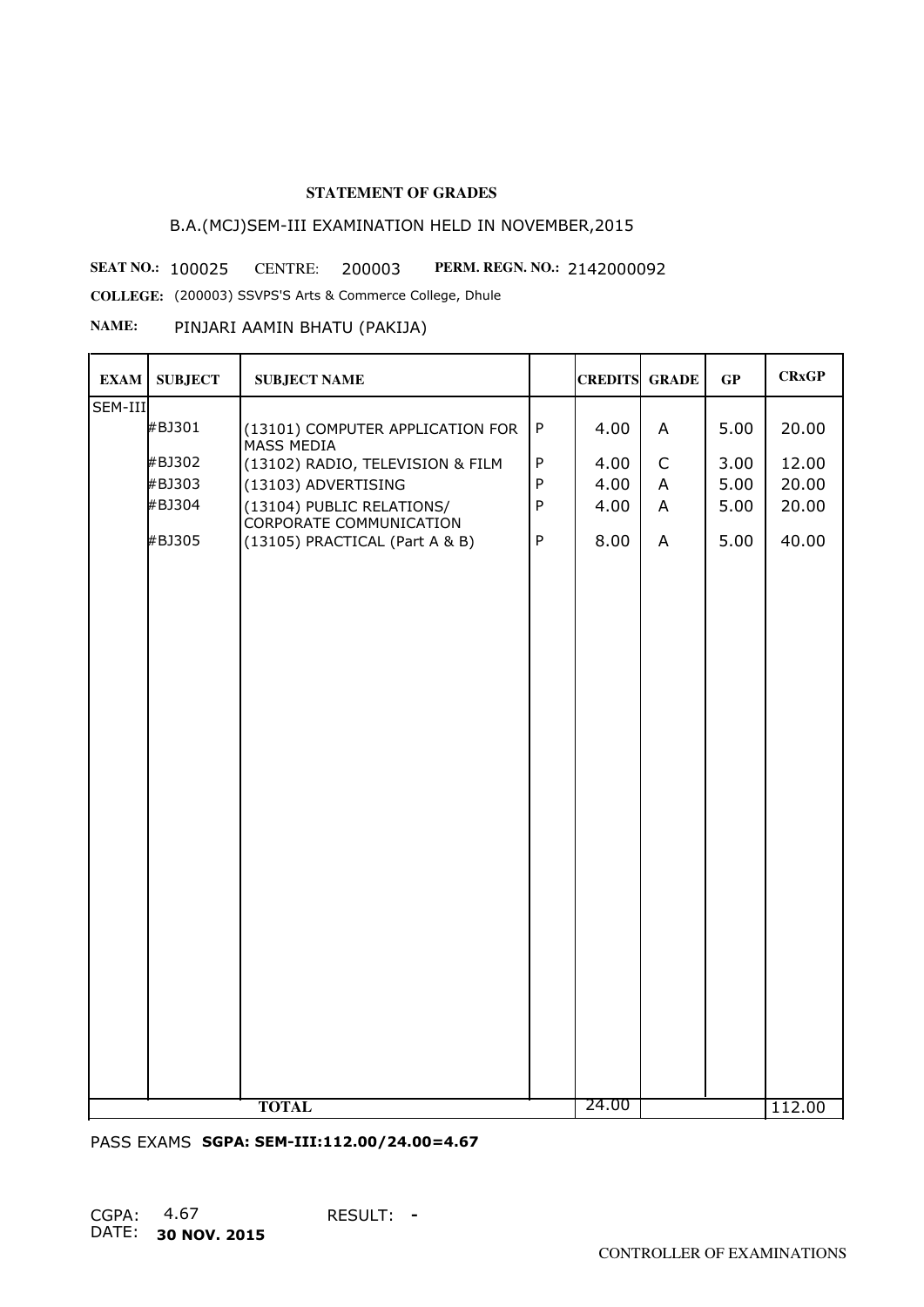# B.A.(MCJ)SEM-III EXAMINATION HELD IN NOVEMBER,2015

**SEAT NO.: 100025 CENTRE: 200003 PERM. REGN. NO.: 2142000092** 

**COLLEGE:** (200003) SSVPS'S Arts & Commerce College, Dhule

#### **NAME:** PINJARI AAMIN BHATU (PAKIJA)

| <b>EXAM</b> | <b>SUBJECT</b> | <b>SUBJECT NAME</b>                                         |              | <b>CREDITS GRADE</b> |                | GP   | <b>CRxGP</b> |
|-------------|----------------|-------------------------------------------------------------|--------------|----------------------|----------------|------|--------------|
| SEM-III     |                |                                                             |              |                      |                |      |              |
|             | #BJ301         | (13101) COMPUTER APPLICATION FOR<br>MASS MEDIA              | ${\sf P}$    | 4.00                 | A              | 5.00 | 20.00        |
|             | #BJ302         | (13102) RADIO, TELEVISION & FILM                            | $\mathsf{P}$ | 4.00                 | $\mathsf{C}$   | 3.00 | 12.00        |
|             | #BJ303         | (13103) ADVERTISING                                         | $\mathsf{P}$ | 4.00                 | A              | 5.00 | 20.00        |
|             | #BJ304         | (13104) PUBLIC RELATIONS/<br><b>CORPORATE COMMUNICATION</b> | ${\sf P}$    | 4.00                 | $\overline{A}$ | 5.00 | 20.00        |
|             | #BJ305         | (13105) PRACTICAL (Part A & B)                              | P            | 8.00                 | A              | 5.00 | 40.00        |
|             |                |                                                             |              |                      |                |      |              |
|             |                |                                                             |              |                      |                |      |              |
|             |                |                                                             |              |                      |                |      |              |
|             |                |                                                             |              |                      |                |      |              |
|             |                |                                                             |              |                      |                |      |              |
|             |                |                                                             |              |                      |                |      |              |
|             |                |                                                             |              |                      |                |      |              |
|             |                |                                                             |              |                      |                |      |              |
|             |                |                                                             |              |                      |                |      |              |
|             |                |                                                             |              |                      |                |      |              |
|             |                |                                                             |              |                      |                |      |              |
|             |                |                                                             |              |                      |                |      |              |
|             |                |                                                             |              |                      |                |      |              |
|             |                |                                                             |              |                      |                |      |              |
|             |                |                                                             |              |                      |                |      |              |
|             |                |                                                             |              | 24.00                |                |      |              |
|             | <b>TOTAL</b>   |                                                             |              |                      |                |      | 112.00       |

PASS EXAMS **SGPA: SEM-III:112.00/24.00=4.67**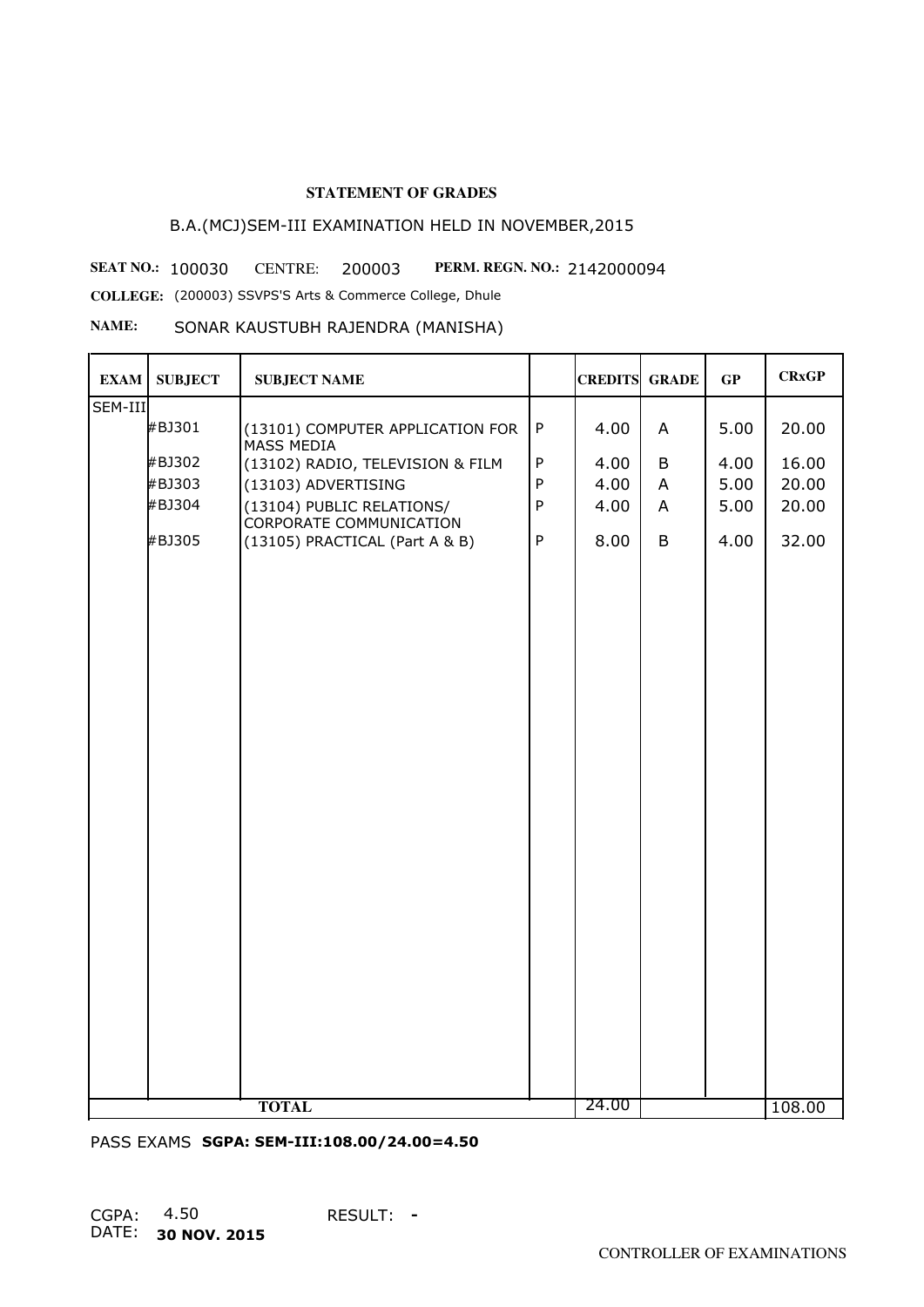# B.A.(MCJ)SEM-III EXAMINATION HELD IN NOVEMBER,2015

**SEAT NO.: 100030 CENTRE: 200003 PERM. REGN. NO.: 2142000094 COLLEGE:** (200003) SSVPS'S Arts & Commerce College, Dhule

#### **NAME:** SONAR KAUSTUBH RAJENDRA (MANISHA)

| <b>EXAM</b> | <b>SUBJECT</b> | <b>SUBJECT NAME</b>                                         |              | <b>CREDITS GRADE</b> |   | GP   | <b>CRxGP</b> |
|-------------|----------------|-------------------------------------------------------------|--------------|----------------------|---|------|--------------|
| SEM-III     |                |                                                             |              |                      |   |      |              |
|             | #BJ301         | (13101) COMPUTER APPLICATION FOR<br>MASS MEDIA              | ${\sf P}$    | 4.00                 | A | 5.00 | 20.00        |
|             | #BJ302         | (13102) RADIO, TELEVISION & FILM                            | $\sf P$      | 4.00                 | B | 4.00 | 16.00        |
|             | #BJ303         | (13103) ADVERTISING                                         | $\sf P$      | 4.00                 | A | 5.00 | 20.00        |
|             | #BJ304         | (13104) PUBLIC RELATIONS/<br><b>CORPORATE COMMUNICATION</b> | $\sf P$      | 4.00                 | A | 5.00 | 20.00        |
|             | #BJ305         | (13105) PRACTICAL (Part A & B)                              | $\mathsf{P}$ | 8.00                 | B | 4.00 | 32.00        |
|             |                |                                                             |              |                      |   |      |              |
|             |                |                                                             |              |                      |   |      |              |
|             |                |                                                             |              |                      |   |      |              |
|             |                |                                                             |              |                      |   |      |              |
|             |                |                                                             |              |                      |   |      |              |
|             |                |                                                             |              |                      |   |      |              |
|             |                |                                                             |              |                      |   |      |              |
|             |                |                                                             |              |                      |   |      |              |
|             |                |                                                             |              |                      |   |      |              |
|             |                |                                                             |              |                      |   |      |              |
|             |                |                                                             |              |                      |   |      |              |
|             |                |                                                             |              |                      |   |      |              |
|             |                |                                                             |              |                      |   |      |              |
|             |                |                                                             |              |                      |   |      |              |
|             |                |                                                             |              |                      |   |      |              |
|             |                |                                                             |              |                      |   |      |              |
|             |                |                                                             |              |                      |   |      |              |
|             |                | <b>TOTAL</b>                                                |              | 24.00                |   |      | 108.00       |

PASS EXAMS **SGPA: SEM-III:108.00/24.00=4.50**